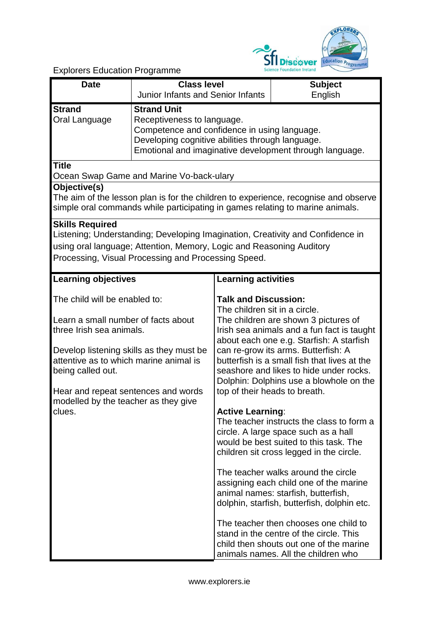

Explorers Education Programme

| <b>Date</b>                                                                                                                                                                                                                                                                                          | <b>Class level</b><br>Junior Infants and Senior Infants                                                                                                                                                         |                                                                                                                          | <b>Subject</b><br>English                                                                                                                                                                                                                                                                                                                                                                                                                                                                                                                                                                                                                                                                                                                                                                                                           |  |
|------------------------------------------------------------------------------------------------------------------------------------------------------------------------------------------------------------------------------------------------------------------------------------------------------|-----------------------------------------------------------------------------------------------------------------------------------------------------------------------------------------------------------------|--------------------------------------------------------------------------------------------------------------------------|-------------------------------------------------------------------------------------------------------------------------------------------------------------------------------------------------------------------------------------------------------------------------------------------------------------------------------------------------------------------------------------------------------------------------------------------------------------------------------------------------------------------------------------------------------------------------------------------------------------------------------------------------------------------------------------------------------------------------------------------------------------------------------------------------------------------------------------|--|
| <b>Strand</b><br>Oral Language                                                                                                                                                                                                                                                                       | <b>Strand Unit</b><br>Receptiveness to language.<br>Competence and confidence in using language.<br>Developing cognitive abilities through language.<br>Emotional and imaginative development through language. |                                                                                                                          |                                                                                                                                                                                                                                                                                                                                                                                                                                                                                                                                                                                                                                                                                                                                                                                                                                     |  |
| <b>Title</b>                                                                                                                                                                                                                                                                                         | Ocean Swap Game and Marine Vo-back-ulary                                                                                                                                                                        |                                                                                                                          |                                                                                                                                                                                                                                                                                                                                                                                                                                                                                                                                                                                                                                                                                                                                                                                                                                     |  |
| Objective(s)<br>The aim of the lesson plan is for the children to experience, recognise and observe<br>simple oral commands while participating in games relating to marine animals.                                                                                                                 |                                                                                                                                                                                                                 |                                                                                                                          |                                                                                                                                                                                                                                                                                                                                                                                                                                                                                                                                                                                                                                                                                                                                                                                                                                     |  |
| <b>Skills Required</b><br>Listening; Understanding; Developing Imagination, Creativity and Confidence in<br>using oral language; Attention, Memory, Logic and Reasoning Auditory<br>Processing, Visual Processing and Processing Speed.                                                              |                                                                                                                                                                                                                 |                                                                                                                          |                                                                                                                                                                                                                                                                                                                                                                                                                                                                                                                                                                                                                                                                                                                                                                                                                                     |  |
| <b>Learning objectives</b>                                                                                                                                                                                                                                                                           |                                                                                                                                                                                                                 | Learning activities                                                                                                      |                                                                                                                                                                                                                                                                                                                                                                                                                                                                                                                                                                                                                                                                                                                                                                                                                                     |  |
| The child will be enabled to:<br>Learn a small number of facts about<br>three Irish sea animals.<br>Develop listening skills as they must be<br>attentive as to which marine animal is<br>being called out.<br>Hear and repeat sentences and words<br>modelled by the teacher as they give<br>clues. |                                                                                                                                                                                                                 | <b>Talk and Discussion:</b><br>The children sit in a circle.<br>top of their heads to breath.<br><b>Active Learning:</b> | The children are shown 3 pictures of<br>Irish sea animals and a fun fact is taught<br>about each one e.g. Starfish: A starfish<br>can re-grow its arms. Butterfish: A<br>butterfish is a small fish that lives at the<br>seashore and likes to hide under rocks.<br>Dolphin: Dolphins use a blowhole on the<br>The teacher instructs the class to form a<br>circle. A large space such as a hall<br>would be best suited to this task. The<br>children sit cross legged in the circle.<br>The teacher walks around the circle<br>assigning each child one of the marine<br>animal names: starfish, butterfish,<br>dolphin, starfish, butterfish, dolphin etc.<br>The teacher then chooses one child to<br>stand in the centre of the circle. This<br>child then shouts out one of the marine<br>animals names. All the children who |  |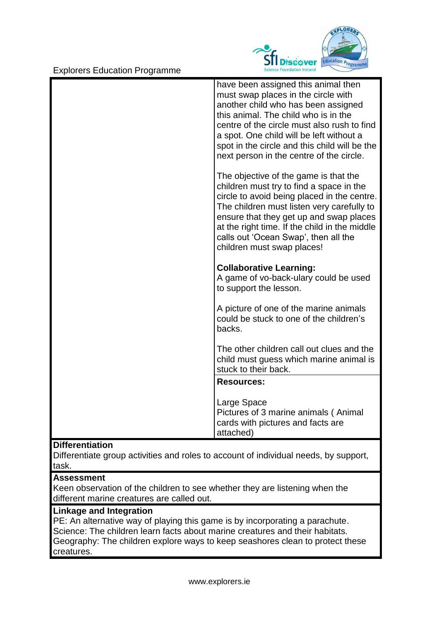Explorers Education Programme



| have been assigned this animal then<br>must swap places in the circle with<br>another child who has been assigned<br>this animal. The child who is in the<br>centre of the circle must also rush to find<br>a spot. One child will be left without a<br>spot in the circle and this child will be the<br>next person in the centre of the circle. |
|---------------------------------------------------------------------------------------------------------------------------------------------------------------------------------------------------------------------------------------------------------------------------------------------------------------------------------------------------|
| The objective of the game is that the<br>children must try to find a space in the<br>circle to avoid being placed in the centre.<br>The children must listen very carefully to<br>ensure that they get up and swap places<br>at the right time. If the child in the middle<br>calls out 'Ocean Swap', then all the<br>children must swap places!  |
| <b>Collaborative Learning:</b><br>A game of vo-back-ulary could be used<br>to support the lesson.                                                                                                                                                                                                                                                 |
| A picture of one of the marine animals<br>could be stuck to one of the children's<br>backs.                                                                                                                                                                                                                                                       |
| The other children call out clues and the<br>child must guess which marine animal is<br>stuck to their back.                                                                                                                                                                                                                                      |
| <b>Resources:</b>                                                                                                                                                                                                                                                                                                                                 |
| Large Space<br>Pictures of 3 marine animals (Animal<br>cards with pictures and facts are<br>attached)                                                                                                                                                                                                                                             |

## **Differentiation**

Differentiate group activities and roles to account of individual needs, by support, task.

## **Assessment**

Keen observation of the children to see whether they are listening when the different marine creatures are called out.

## **Linkage and Integration**

PE: An alternative way of playing this game is by incorporating a parachute. Science: The children learn facts about marine creatures and their habitats. Geography: The children explore ways to keep seashores clean to protect these creatures.